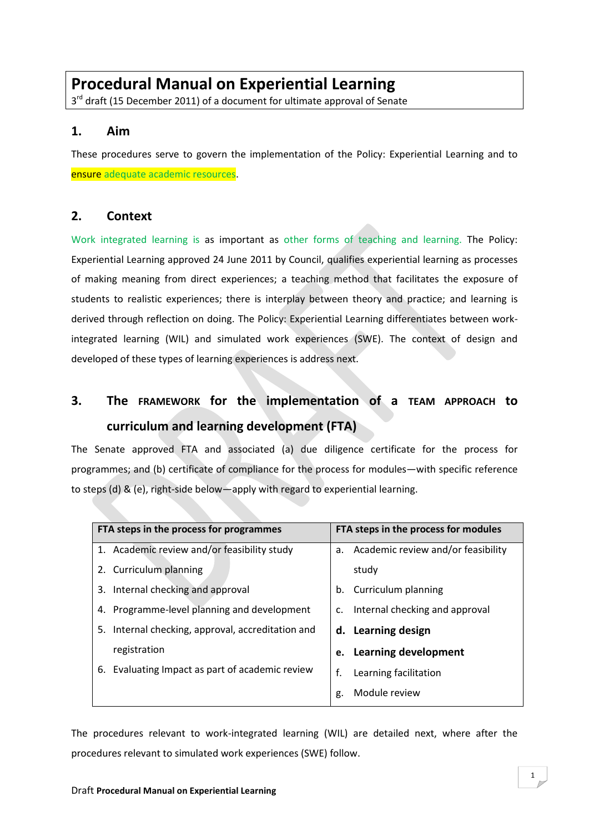# **Procedural Manual on Experiential Learning**

3<sup>rd</sup> draft (15 December 2011) of a document for ultimate approval of Senate

# **1. Aim**

These procedures serve to govern the implementation of the Policy: Experiential Learning and to ensure adequate academic resources.

# **2. Context**

Work integrated learning is as important as other forms of teaching and learning. The Policy: Experiential Learning approved 24 June 2011 by Council, qualifies experiential learning as processes of making meaning from direct experiences; a teaching method that facilitates the exposure of students to realistic experiences; there is interplay between theory and practice; and learning is derived through reflection on doing. The Policy: Experiential Learning differentiates between workintegrated learning (WIL) and simulated work experiences (SWE). The context of design and developed of these types of learning experiences is address next.

# **3. The FRAMEWORK for the implementation of a TEAM APPROACH to curriculum and learning development (FTA)**

The Senate approved FTA and associated (a) due diligence certificate for the process for programmes; and (b) certificate of compliance for the process for modules—with specific reference to steps (d) & (e), right-side below—apply with regard to experiential learning.

| FTA steps in the process for programmes              | FTA steps in the process for modules  |
|------------------------------------------------------|---------------------------------------|
| 1. Academic review and/or feasibility study          | a. Academic review and/or feasibility |
| 2. Curriculum planning                               | study                                 |
| 3. Internal checking and approval                    | Curriculum planning<br>b.             |
| Programme-level planning and development<br>4.       | Internal checking and approval<br>c.  |
| Internal checking, approval, accreditation and<br>5. | d. Learning design                    |
| registration                                         | e. Learning development               |
| Evaluating Impact as part of academic review<br>6.   | f.<br>Learning facilitation           |
|                                                      | Module review<br>g.                   |

The procedures relevant to work-integrated learning (WIL) are detailed next, where after the procedures relevant to simulated work experiences (SWE) follow.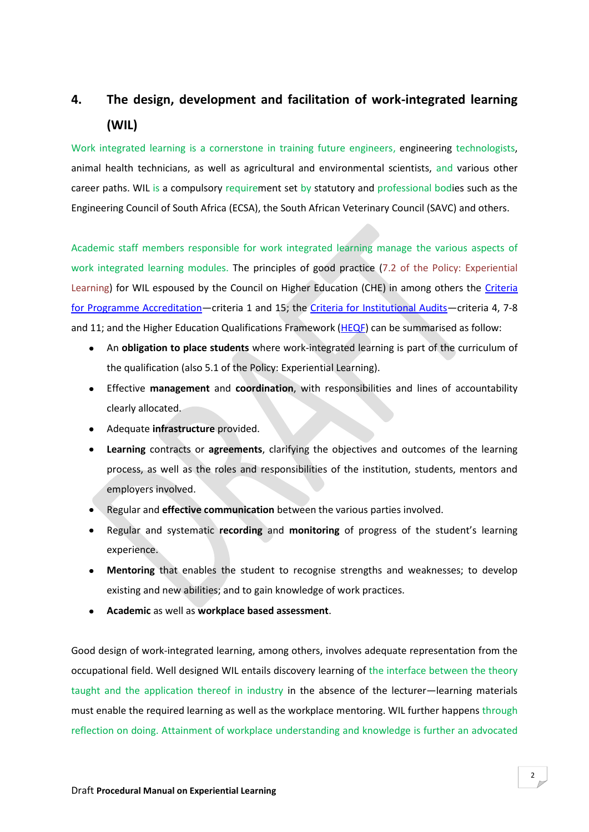# **4. The design, development and facilitation of work-integrated learning (WIL)**

Work integrated learning is a cornerstone in training future engineers, engineering technologists, animal health technicians, as well as agricultural and environmental scientists, and various other career paths. WIL is a compulsory requirement set by statutory and professional bodies such as the Engineering Council of South Africa (ECSA), the South African Veterinary Council (SAVC) and others.

Academic staff members responsible for work integrated learning manage the various aspects of work integrated learning modules. The principles of good practice (7.2 of the Policy: Experiential Learning) for WIL espoused by the Council on Higher Education (CHE) in among others the [Criteria](http://www.che.ac.za/documents/d000084/)  [for Programme Accreditation](http://www.che.ac.za/documents/d000084/)—criteria 1 and 15; the Criteria [for Institutional Audits](http://www.che.ac.za/documents/d000061/)—criteria 4, 7-8 and 11; and the Higher Education Qualifications Framework  $(HEQF)$  can be summarised as follow:

- An **obligation to place students** where work-integrated learning is part of the curriculum of the qualification (also 5.1 of the Policy: Experiential Learning).
- Effective **management** and **coordination**, with responsibilities and lines of accountability clearly allocated.
- Adequate **infrastructure** provided.
- **Learning** contracts or **agreements**, clarifying the objectives and outcomes of the learning  $\bullet$ process, as well as the roles and responsibilities of the institution, students, mentors and employers involved.
- Regular and **effective communication** between the various parties involved.
- Regular and systematic **recording** and **monitoring** of progress of the student's learning  $\bullet$ experience.
- **Mentoring** that enables the student to recognise strengths and weaknesses; to develop  $\bullet$ existing and new abilities; and to gain knowledge of work practices.
- **Academic** as well as **workplace based assessment**.

Good design of work-integrated learning, among others, involves adequate representation from the occupational field. Well designed WIL entails discovery learning of the interface between the theory taught and the application thereof in industry in the absence of the lecturer—learning materials must enable the required learning as well as the workplace mentoring. WIL further happens through reflection on doing. Attainment of workplace understanding and knowledge is further an advocated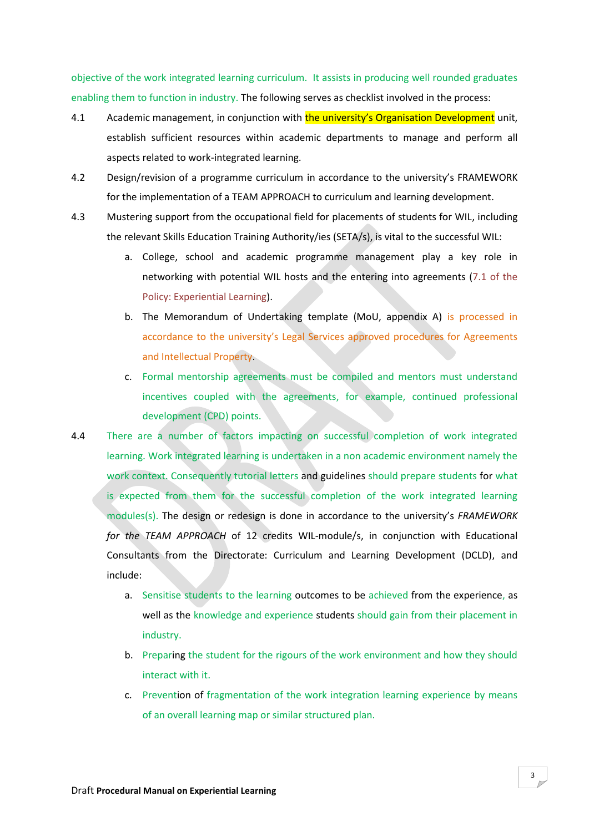objective of the work integrated learning curriculum. It assists in producing well rounded graduates enabling them to function in industry. The following serves as checklist involved in the process:

- 4.1 Academic management, in conjunction with the university's Organisation Development unit, establish sufficient resources within academic departments to manage and perform all aspects related to work-integrated learning.
- 4.2 Design/revision of a programme curriculum in accordance to the university's FRAMEWORK for the implementation of a TEAM APPROACH to curriculum and learning development.
- 4.3 Mustering support from the occupational field for placements of students for WIL, including the relevant Skills Education Training Authority/ies (SETA/s), is vital to the successful WIL:
	- a. College, school and academic programme management play a key role in networking with potential WIL hosts and the entering into agreements (7.1 of the Policy: Experiential Learning).
	- b. The Memorandum of Undertaking template (MoU, appendix A) is processed in accordance to the university's Legal Services approved procedures for Agreements and Intellectual Property.
	- c. Formal mentorship agreements must be compiled and mentors must understand incentives coupled with the agreements, for example, continued professional development (CPD) points.
- 4.4 There are a number of factors impacting on successful completion of work integrated learning. Work integrated learning is undertaken in a non academic environment namely the work context. Consequently tutorial letters and guidelines should prepare students for what is expected from them for the successful completion of the work integrated learning modules(s). The design or redesign is done in accordance to the university's *FRAMEWORK for the TEAM APPROACH* of 12 credits WIL-module/s, in conjunction with Educational Consultants from the Directorate: Curriculum and Learning Development (DCLD), and include:
	- a. Sensitise students to the learning outcomes to be achieved from the experience, as well as the knowledge and experience students should gain from their placement in industry.
	- b. Preparing the student for the rigours of the work environment and how they should interact with it.
	- c. Prevention of fragmentation of the work integration learning experience by means of an overall learning map or similar structured plan.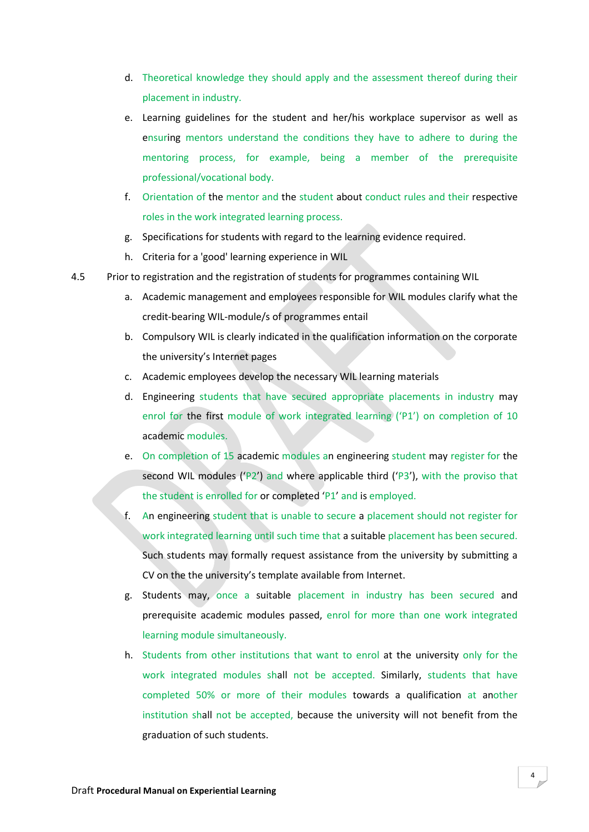- d. Theoretical knowledge they should apply and the assessment thereof during their placement in industry.
- e. Learning guidelines for the student and her/his workplace supervisor as well as ensuring mentors understand the conditions they have to adhere to during the mentoring process, for example, being a member of the prerequisite professional/vocational body.
- f. Orientation of the mentor and the student about conduct rules and their respective roles in the work integrated learning process.
- g. Specifications for students with regard to the learning evidence required.
- h. Criteria for a 'good' learning experience in WIL
- 4.5 Prior to registration and the registration of students for programmes containing WIL
	- a. Academic management and employees responsible for WIL modules clarify what the credit-bearing WIL-module/s of programmes entail
	- b. Compulsory WIL is clearly indicated in the qualification information on the corporate the university's Internet pages
	- c. Academic employees develop the necessary WIL learning materials
	- d. Engineering students that have secured appropriate placements in industry may enrol for the first module of work integrated learning ('P1') on completion of 10 academic modules.
	- e. On completion of 15 academic modules an engineering student may register for the second WIL modules ('P2') and where applicable third ('P3'), with the proviso that the student is enrolled for or completed 'P1' and is employed.
	- f. An engineering student that is unable to secure a placement should not register for work integrated learning until such time that a suitable placement has been secured. Such students may formally request assistance from the university by submitting a CV on the the university's template available from Internet.
	- g. Students may, once a suitable placement in industry has been secured and prerequisite academic modules passed, enrol for more than one work integrated learning module simultaneously.
	- h. Students from other institutions that want to enrol at the university only for the work integrated modules shall not be accepted. Similarly, students that have completed 50% or more of their modules towards a qualification at another institution shall not be accepted, because the university will not benefit from the graduation of such students.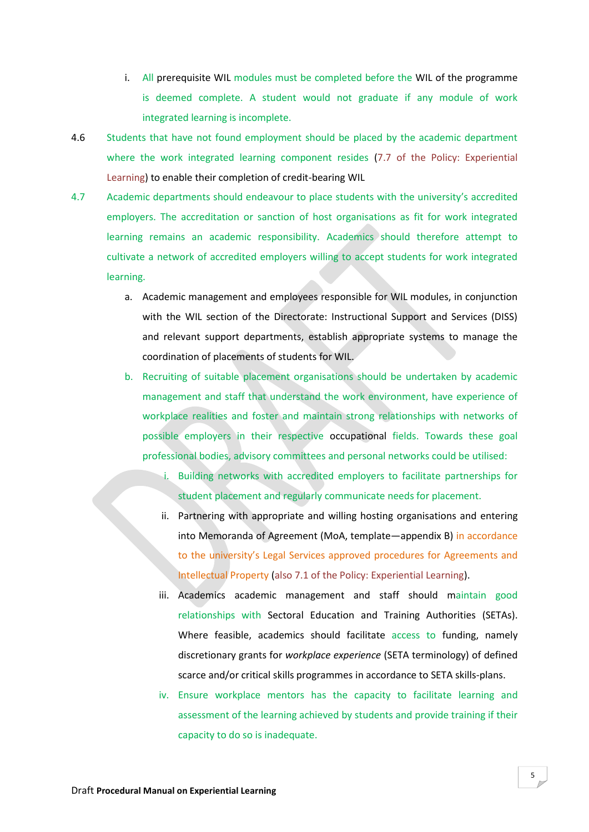- i. All prerequisite WIL modules must be completed before the WIL of the programme is deemed complete. A student would not graduate if any module of work integrated learning is incomplete.
- 4.6 Students that have not found employment should be placed by the academic department where the work integrated learning component resides (7.7 of the Policy: Experiential Learning) to enable their completion of credit-bearing WIL
- 4.7 Academic departments should endeavour to place students with the university's accredited employers. The accreditation or sanction of host organisations as fit for work integrated learning remains an academic responsibility. Academics should therefore attempt to cultivate a network of accredited employers willing to accept students for work integrated learning.
	- a. Academic management and employees responsible for WIL modules, in conjunction with the WIL section of the Directorate: Instructional Support and Services (DISS) and relevant support departments, establish appropriate systems to manage the coordination of placements of students for WIL.
	- b. Recruiting of suitable placement organisations should be undertaken by academic management and staff that understand the work environment, have experience of workplace realities and foster and maintain strong relationships with networks of possible employers in their respective occupational fields. Towards these goal professional bodies, advisory committees and personal networks could be utilised:
		- i. Building networks with accredited employers to facilitate partnerships for student placement and regularly communicate needs for placement.
		- ii. Partnering with appropriate and willing hosting organisations and entering into Memoranda of Agreement (MoA, template—appendix B) in accordance to the university's Legal Services approved procedures for Agreements and Intellectual Property (also 7.1 of the Policy: Experiential Learning).
		- iii. Academics academic management and staff should maintain good relationships with Sectoral Education and Training Authorities (SETAs). Where feasible, academics should facilitate access to funding, namely discretionary grants for *workplace experience* (SETA terminology) of defined scarce and/or critical skills programmes in accordance to SETA skills-plans.
		- iv. Ensure workplace mentors has the capacity to facilitate learning and assessment of the learning achieved by students and provide training if their capacity to do so is inadequate.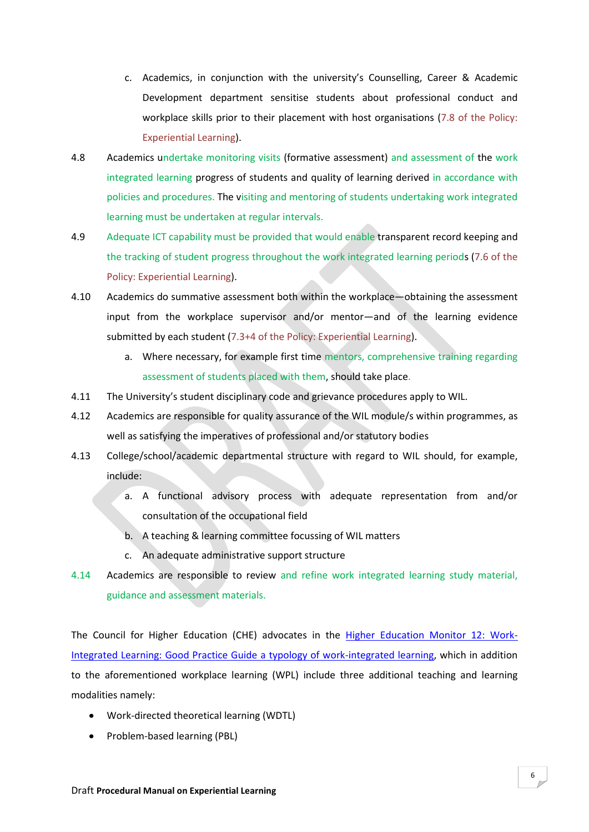- c. Academics, in conjunction with the university's Counselling, Career & Academic Development department sensitise students about professional conduct and workplace skills prior to their placement with host organisations (7.8 of the Policy: Experiential Learning).
- 4.8 Academics undertake monitoring visits (formative assessment) and assessment of the work integrated learning progress of students and quality of learning derived in accordance with policies and procedures. The visiting and mentoring of students undertaking work integrated learning must be undertaken at regular intervals.
- 4.9 Adequate ICT capability must be provided that would enable transparent record keeping and the tracking of student progress throughout the work integrated learning periods (7.6 of the Policy: Experiential Learning).
- 4.10 Academics do summative assessment both within the workplace—obtaining the assessment input from the workplace supervisor and/or mentor—and of the learning evidence submitted by each student (7.3+4 of the Policy: Experiential Learning).
	- a. Where necessary, for example first time mentors, comprehensive training regarding assessment of students placed with them, should take place.
- 4.11 The University's student disciplinary code and grievance procedures apply to WIL.
- 4.12 Academics are responsible for quality assurance of the WIL module/s within programmes, as well as satisfying the imperatives of professional and/or statutory bodies
- 4.13 College/school/academic departmental structure with regard to WIL should, for example, include:
	- a. A functional advisory process with adequate representation from and/or consultation of the occupational field
	- b. A teaching & learning committee focussing of WIL matters
	- c. An adequate administrative support structure
- 4.14 Academics are responsible to review and refine work integrated learning study material, guidance and assessment materials.

The Council for Higher Education (CHE) advocates in the [Higher Education Monitor 12: Work-](http://www.che.ac.za/documents/d000217/)[Integrated Learning: Good Practice Guide a typology of work-integrated learning,](http://www.che.ac.za/documents/d000217/) which in addition to the aforementioned workplace learning (WPL) include three additional teaching and learning modalities namely:

- Work-directed theoretical learning (WDTL)
- Problem-based learning (PBL)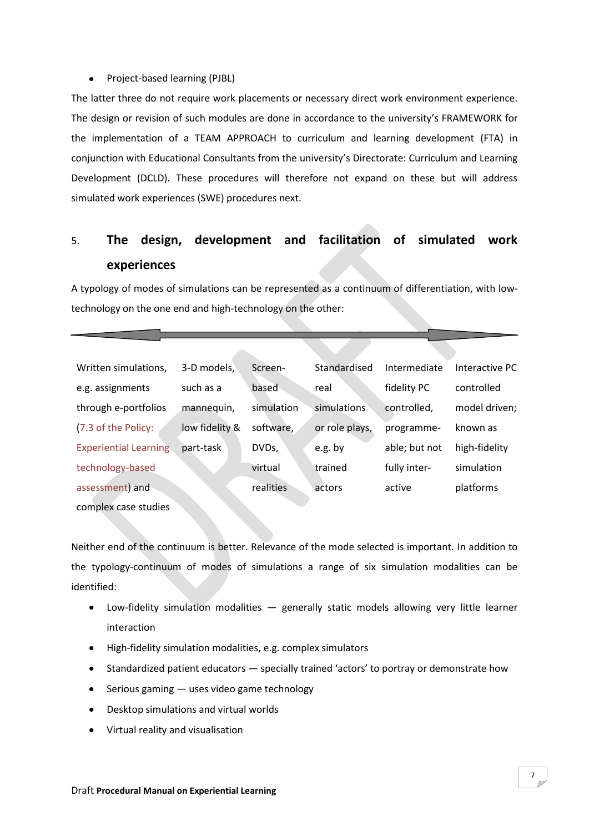# • Project-based learning (PJBL)

The latter three do not require work placements or necessary direct work environment experience. The design or revision of such modules are done in accordance to the university's FRAMEWORK for the implementation of a TEAM APPROACH to curriculum and learning development (FTA) in conjunction with Educational Consultants from the university's Directorate: Curriculum and Learning Development (DCLD). These procedures will therefore not expand on these but will address simulated work experiences (SWE) procedures next.

# 5. **The design, development and facilitation of simulated work experiences**

A typology of modes of simulations can be represented as a continuum of differentiation, with lowtechnology on the one end and high-technology on the other:

| Written simulations,         | 3-D models,    | Screen-    | Standardised   | Intermediate  | Interactive PC |
|------------------------------|----------------|------------|----------------|---------------|----------------|
| e.g. assignments             | such as a      | based      | real           | fidelity PC   | controlled     |
| through e-portfolios         | mannequin,     | simulation | simulations    | controlled,   | model driven;  |
| (7.3 of the Policy:          | low fidelity & | software,  | or role plays, | programme-    | known as       |
| <b>Experiential Learning</b> | part-task      | DVDs,      | e.g. by        | able; but not | high-fidelity  |
| technology-based             |                | virtual    | trained        | fully inter-  | simulation     |
| assessment) and              |                | realities  | actors         | active        | platforms      |
| complex case studies         |                |            |                |               |                |

Neither end of the continuum is better. Relevance of the mode selected is important. In addition to the typology-continuum of modes of simulations a range of six simulation modalities can be identified:

- Low-fidelity simulation modalities generally static models allowing very little learner interaction
- High-fidelity simulation modalities, e.g. complex simulators
- Standardized patient educators specially trained 'actors' to portray or demonstrate how
- $\bullet$  Serious gaming  $-$  uses video game technology
- Desktop simulations and virtual worlds
- Virtual reality and visualisation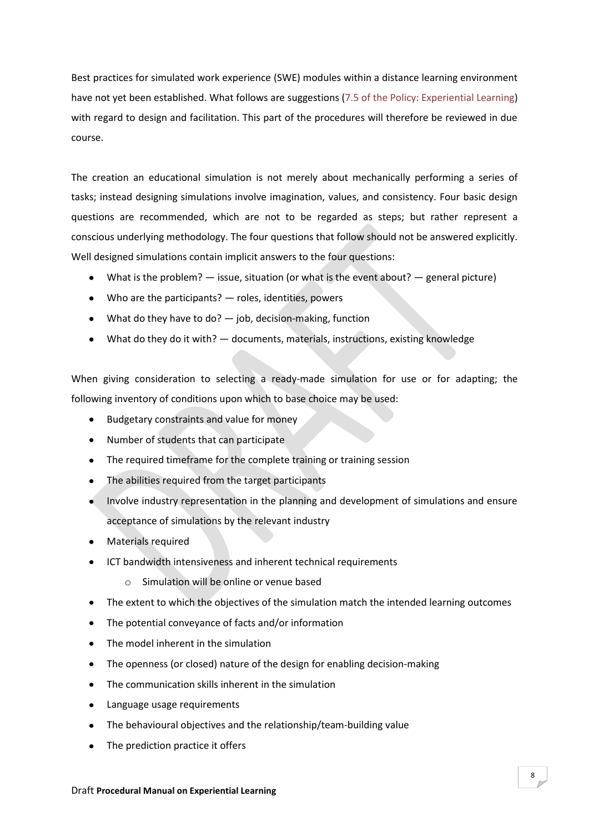Best practices for simulated work experience (SWE) modules within a distance learning environment have not yet been established. What follows are suggestions (7.5 of the Policy: Experiential Learning) with regard to design and facilitation. This part of the procedures will therefore be reviewed in due course.

The creation an educational simulation is not merely about mechanically performing a series of tasks; instead designing simulations involve imagination, values, and consistency. Four basic design questions are recommended, which are not to be regarded as steps; but rather represent a conscious underlying methodology. The four questions that follow should not be answered explicitly. Well designed simulations contain implicit answers to the four questions:

- What is the problem?  $-$  issue, situation (or what is the event about?  $-$  general picture)
- Who are the participants? roles, identities, powers
- What do they have to do? job, decision-making, function
- What do they do it with? documents, materials, instructions, existing knowledge

When giving consideration to selecting a ready-made simulation for use or for adapting; the following inventory of conditions upon which to base choice may be used:

- Budgetary constraints and value for money
- Number of students that can participate  $\bullet$
- The required timeframe for the complete training or training session
- The abilities required from the target participants
- Involve industry representation in the planning and development of simulations and ensure acceptance of simulations by the relevant industry
- Materials required
- ICT bandwidth intensiveness and inherent technical requirements
	- o Simulation will be online or venue based
- The extent to which the objectives of the simulation match the intended learning outcomes
- The potential conveyance of facts and/or information
- The model inherent in the simulation
- The openness (or closed) nature of the design for enabling decision-making  $\bullet$
- $\bullet$ The communication skills inherent in the simulation
- $\bullet$ Language usage requirements
- The behavioural objectives and the relationship/team-building value
- The prediction practice it offers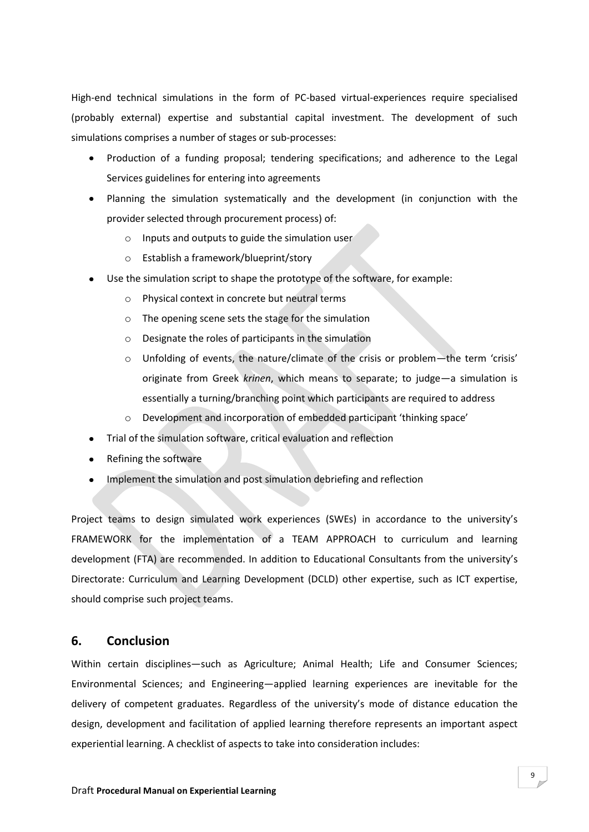High-end technical simulations in the form of PC-based virtual-experiences require specialised (probably external) expertise and substantial capital investment. The development of such simulations comprises a number of stages or sub-processes:

- Production of a funding proposal; tendering specifications; and adherence to the Legal Services guidelines for entering into agreements
- Planning the simulation systematically and the development (in conjunction with the provider selected through procurement process) of:
	- o Inputs and outputs to guide the simulation user
	- o Establish a framework/blueprint/story
- Use the simulation script to shape the prototype of the software, for example:
	- o Physical context in concrete but neutral terms
	- o The opening scene sets the stage for the simulation
	- o Designate the roles of participants in the simulation
	- o Unfolding of events, the nature/climate of the crisis or problem—the term 'crisis' originate from Greek *krinen*, which means to separate; to judge—a simulation is essentially a turning/branching point which participants are required to address
	- o Development and incorporation of embedded participant 'thinking space'
- Trial of the simulation software, critical evaluation and reflection  $\bullet$
- Refining the software
- Implement the simulation and post simulation debriefing and reflection

Project teams to design simulated work experiences (SWEs) in accordance to the university's FRAMEWORK for the implementation of a TEAM APPROACH to curriculum and learning development (FTA) are recommended. In addition to Educational Consultants from the university's Directorate: Curriculum and Learning Development (DCLD) other expertise, such as ICT expertise, should comprise such project teams.

# **6. Conclusion**

Within certain disciplines—such as Agriculture; Animal Health; Life and Consumer Sciences; Environmental Sciences; and Engineering—applied learning experiences are inevitable for the delivery of competent graduates. Regardless of the university's mode of distance education the design, development and facilitation of applied learning therefore represents an important aspect experiential learning. A checklist of aspects to take into consideration includes: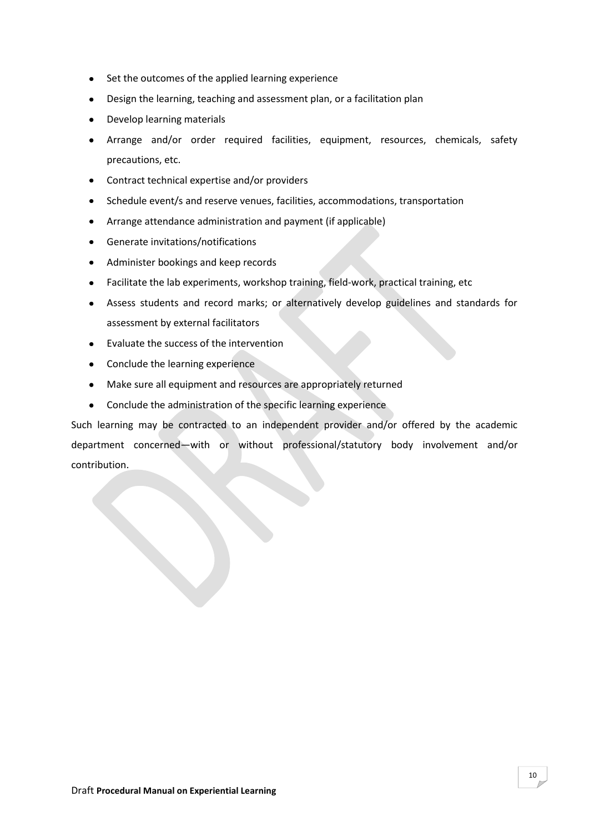- Set the outcomes of the applied learning experience
- Design the learning, teaching and assessment plan, or a facilitation plan
- Develop learning materials  $\bullet$
- Arrange and/or order required facilities, equipment, resources, chemicals, safety  $\bullet$ precautions, etc.
- Contract technical expertise and/or providers
- Schedule event/s and reserve venues, facilities, accommodations, transportation
- Arrange attendance administration and payment (if applicable)  $\bullet$
- Generate invitations/notifications  $\bullet$
- Administer bookings and keep records  $\bullet$
- Facilitate the lab experiments, workshop training, field-work, practical training, etc  $\bullet$
- Assess students and record marks; or alternatively develop guidelines and standards for assessment by external facilitators
- Evaluate the success of the intervention
- Conclude the learning experience
- Make sure all equipment and resources are appropriately returned  $\bullet$
- Conclude the administration of the specific learning experience  $\bullet$

Such learning may be contracted to an independent provider and/or offered by the academic department concerned—with or without professional/statutory body involvement and/or contribution.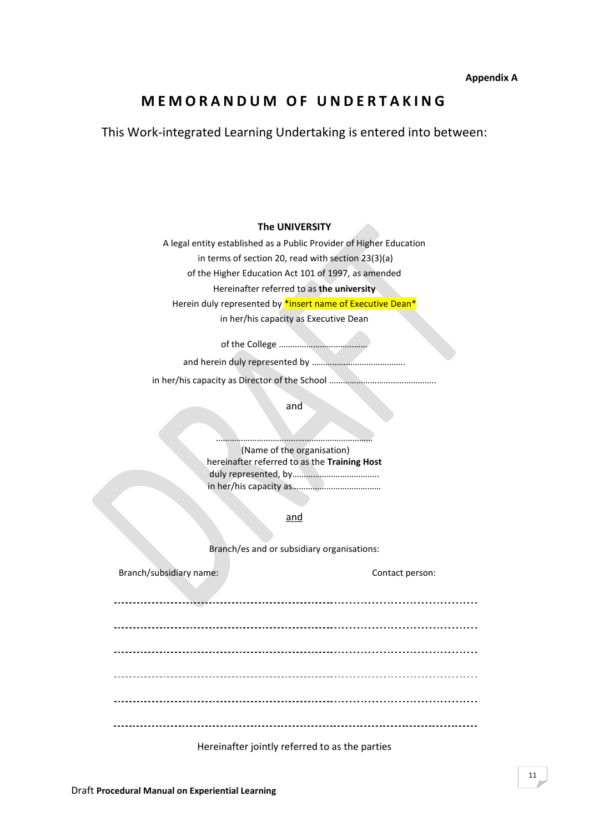# **M E M O R A N D U M O F U N D E R T A K I N G**

This Work-integrated Learning Undertaking is entered into between:

**The UNIVERSITY**

A legal entity established as a Public Provider of Higher Education

in terms of section 20, read with section 23(3)(a)

of the Higher Education Act 101 of 1997, as amended

Hereinafter referred to as **the university**

Herein duly represented by \*insert name of Executive Dean\*

in her/his capacity as Executive Dean

of the College …………………………………

and herein duly represented by …………………………………..

in her/his capacity as Director of the School ………………………………………..

and

…………………………………………………………… (Name of the organisation) hereinafter referred to as the **Training Host** duly represented, by……………………………….. in her/his capacity as…………………………………

and

Branch/es and or subsidiary organisations:

| Branch/subsidiary name: | Contact person:                               |
|-------------------------|-----------------------------------------------|
|                         |                                               |
|                         |                                               |
|                         |                                               |
|                         |                                               |
|                         |                                               |
|                         | Horoinattor jointly referred to acthe norties |

Hereinafter jointly referred to as the parties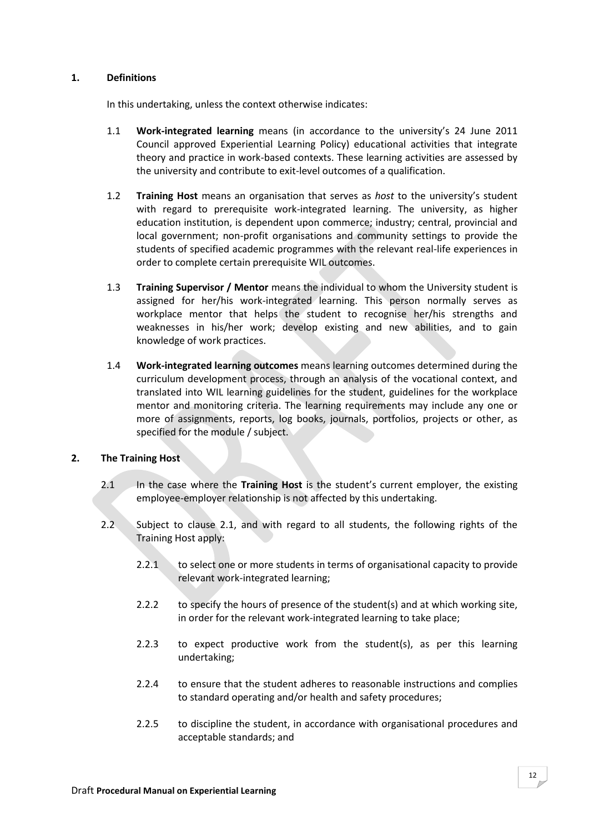# **1. Definitions**

In this undertaking, unless the context otherwise indicates:

- 1.1 **Work-integrated learning** means (in accordance to the university's 24 June 2011 Council approved Experiential Learning Policy) educational activities that integrate theory and practice in work-based contexts. These learning activities are assessed by the university and contribute to exit-level outcomes of a qualification.
- 1.2 **Training Host** means an organisation that serves as *host* to the university's student with regard to prerequisite work-integrated learning. The university, as higher education institution, is dependent upon commerce; industry; central, provincial and local government; non-profit organisations and community settings to provide the students of specified academic programmes with the relevant real-life experiences in order to complete certain prerequisite WIL outcomes.
- 1.3 **Training Supervisor / Mentor** means the individual to whom the University student is assigned for her/his work-integrated learning. This person normally serves as workplace mentor that helps the student to recognise her/his strengths and weaknesses in his/her work; develop existing and new abilities, and to gain knowledge of work practices.
- 1.4 **Work-integrated learning outcomes** means learning outcomes determined during the curriculum development process, through an analysis of the vocational context, and translated into WIL learning guidelines for the student, guidelines for the workplace mentor and monitoring criteria. The learning requirements may include any one or more of assignments, reports, log books, journals, portfolios, projects or other, as specified for the module / subject.

# **2. The Training Host**

- 2.1 In the case where the **Training Host** is the student's current employer, the existing employee-employer relationship is not affected by this undertaking.
- 2.2 Subject to clause 2.1, and with regard to all students, the following rights of the Training Host apply:
	- 2.2.1 to select one or more students in terms of organisational capacity to provide relevant work-integrated learning;
	- 2.2.2 to specify the hours of presence of the student(s) and at which working site, in order for the relevant work-integrated learning to take place;
	- 2.2.3 to expect productive work from the student(s), as per this learning undertaking;
	- 2.2.4 to ensure that the student adheres to reasonable instructions and complies to standard operating and/or health and safety procedures;
	- 2.2.5 to discipline the student, in accordance with organisational procedures and acceptable standards; and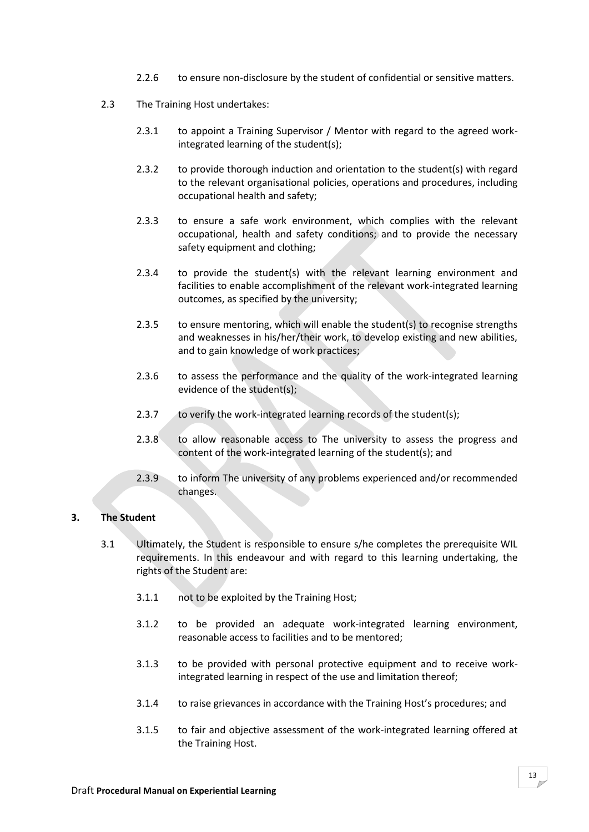- 2.2.6 to ensure non-disclosure by the student of confidential or sensitive matters.
- 2.3 The Training Host undertakes:
	- 2.3.1 to appoint a Training Supervisor / Mentor with regard to the agreed workintegrated learning of the student(s);
	- 2.3.2 to provide thorough induction and orientation to the student(s) with regard to the relevant organisational policies, operations and procedures, including occupational health and safety;
	- 2.3.3 to ensure a safe work environment, which complies with the relevant occupational, health and safety conditions; and to provide the necessary safety equipment and clothing;
	- 2.3.4 to provide the student(s) with the relevant learning environment and facilities to enable accomplishment of the relevant work-integrated learning outcomes, as specified by the university;
	- 2.3.5 to ensure mentoring, which will enable the student(s) to recognise strengths and weaknesses in his/her/their work, to develop existing and new abilities, and to gain knowledge of work practices;
	- 2.3.6 to assess the performance and the quality of the work-integrated learning evidence of the student(s);
	- 2.3.7 to verify the work-integrated learning records of the student(s);
	- 2.3.8 to allow reasonable access to The university to assess the progress and content of the work-integrated learning of the student(s); and
	- 2.3.9 to inform The university of any problems experienced and/or recommended changes.

# **3. The Student**

- 3.1 Ultimately, the Student is responsible to ensure s/he completes the prerequisite WIL requirements. In this endeavour and with regard to this learning undertaking, the rights of the Student are:
	- 3.1.1 not to be exploited by the Training Host;
	- 3.1.2 to be provided an adequate work-integrated learning environment, reasonable access to facilities and to be mentored;
	- 3.1.3 to be provided with personal protective equipment and to receive workintegrated learning in respect of the use and limitation thereof;
	- 3.1.4 to raise grievances in accordance with the Training Host's procedures; and
	- 3.1.5 to fair and objective assessment of the work-integrated learning offered at the Training Host.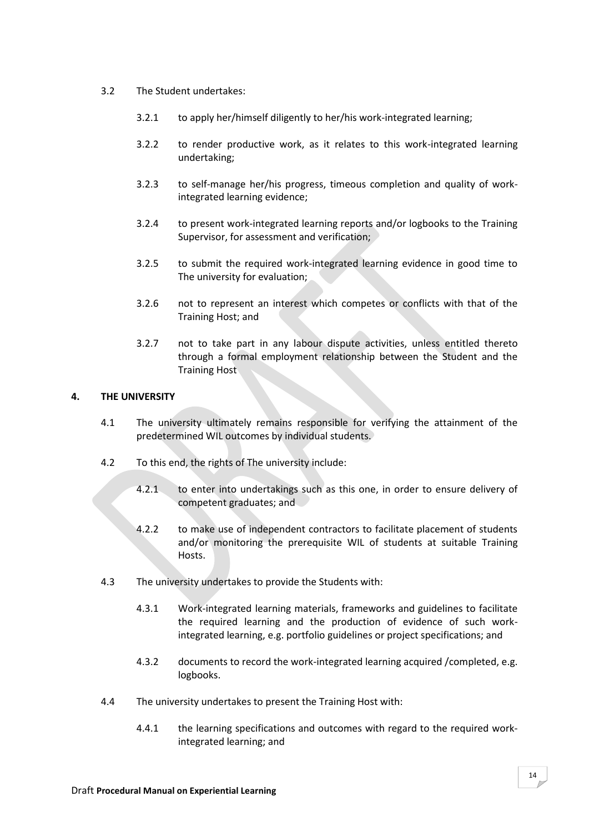- 3.2 The Student undertakes:
	- 3.2.1 to apply her/himself diligently to her/his work-integrated learning;
	- 3.2.2 to render productive work, as it relates to this work-integrated learning undertaking;
	- 3.2.3 to self-manage her/his progress, timeous completion and quality of workintegrated learning evidence;
	- 3.2.4 to present work-integrated learning reports and/or logbooks to the Training Supervisor, for assessment and verification;
	- 3.2.5 to submit the required work-integrated learning evidence in good time to The university for evaluation;
	- 3.2.6 not to represent an interest which competes or conflicts with that of the Training Host; and
	- 3.2.7 not to take part in any labour dispute activities, unless entitled thereto through a formal employment relationship between the Student and the Training Host

# **4. THE UNIVERSITY**

- 4.1 The university ultimately remains responsible for verifying the attainment of the predetermined WIL outcomes by individual students.
- 4.2 To this end, the rights of The university include:
	- 4.2.1 to enter into undertakings such as this one, in order to ensure delivery of competent graduates; and
	- 4.2.2 to make use of independent contractors to facilitate placement of students and/or monitoring the prerequisite WIL of students at suitable Training Hosts.
- 4.3 The university undertakes to provide the Students with:
	- 4.3.1 Work-integrated learning materials, frameworks and guidelines to facilitate the required learning and the production of evidence of such workintegrated learning, e.g. portfolio guidelines or project specifications; and
	- 4.3.2 documents to record the work-integrated learning acquired /completed, e.g. logbooks.
- 4.4 The university undertakes to present the Training Host with:
	- 4.4.1 the learning specifications and outcomes with regard to the required workintegrated learning; and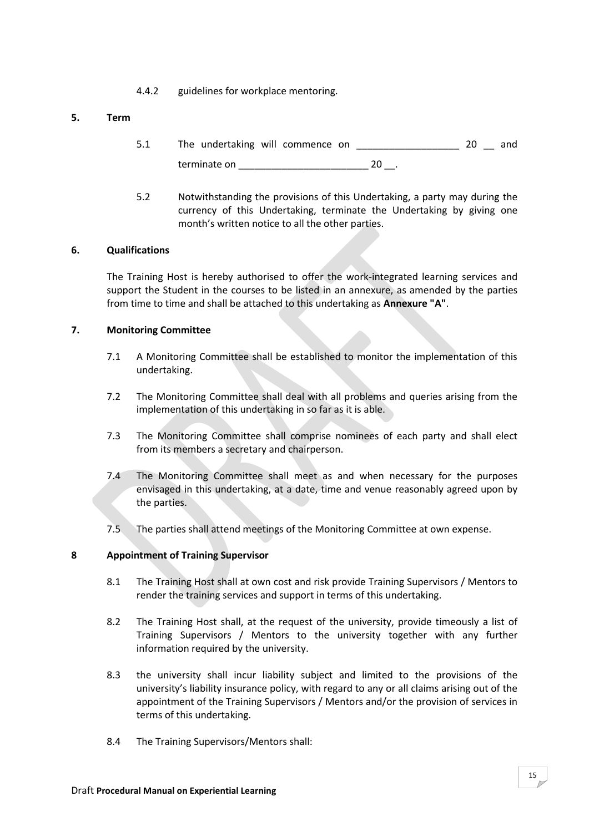4.4.2 guidelines for workplace mentoring.

# **5. Term**

- 5.1 The undertaking will commence on  $20$  and terminate on  $20$ .
- 5.2 Notwithstanding the provisions of this Undertaking, a party may during the currency of this Undertaking, terminate the Undertaking by giving one month's written notice to all the other parties.

#### **6. Qualifications**

The Training Host is hereby authorised to offer the work-integrated learning services and support the Student in the courses to be listed in an annexure, as amended by the parties from time to time and shall be attached to this undertaking as **Annexure "A"**.

#### **7. Monitoring Committee**

- 7.1 A Monitoring Committee shall be established to monitor the implementation of this undertaking.
- 7.2 The Monitoring Committee shall deal with all problems and queries arising from the implementation of this undertaking in so far as it is able.
- 7.3 The Monitoring Committee shall comprise nominees of each party and shall elect from its members a secretary and chairperson.
- 7.4 The Monitoring Committee shall meet as and when necessary for the purposes envisaged in this undertaking, at a date, time and venue reasonably agreed upon by the parties.
- 7.5 The parties shall attend meetings of the Monitoring Committee at own expense.

# **8 Appointment of Training Supervisor**

- 8.1 The Training Host shall at own cost and risk provide Training Supervisors / Mentors to render the training services and support in terms of this undertaking.
- 8.2 The Training Host shall, at the request of the university, provide timeously a list of Training Supervisors / Mentors to the university together with any further information required by the university.
- 8.3 the university shall incur liability subject and limited to the provisions of the university's liability insurance policy, with regard to any or all claims arising out of the appointment of the Training Supervisors / Mentors and/or the provision of services in terms of this undertaking.
- 8.4 The Training Supervisors/Mentors shall: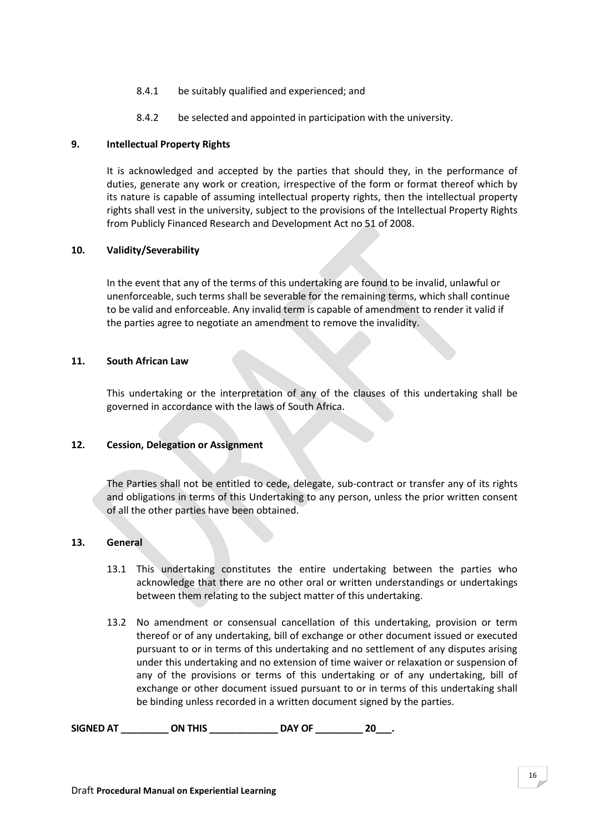- 8.4.1 be suitably qualified and experienced; and
- 8.4.2 be selected and appointed in participation with the university.

### **9. Intellectual Property Rights**

It is acknowledged and accepted by the parties that should they, in the performance of duties, generate any work or creation, irrespective of the form or format thereof which by its nature is capable of assuming intellectual property rights, then the intellectual property rights shall vest in the university, subject to the provisions of the Intellectual Property Rights from Publicly Financed Research and Development Act no 51 of 2008.

#### **10. Validity/Severability**

In the event that any of the terms of this undertaking are found to be invalid, unlawful or unenforceable, such terms shall be severable for the remaining terms, which shall continue to be valid and enforceable. Any invalid term is capable of amendment to render it valid if the parties agree to negotiate an amendment to remove the invalidity.

#### **11. South African Law**

This undertaking or the interpretation of any of the clauses of this undertaking shall be governed in accordance with the laws of South Africa.

#### **12. Cession, Delegation or Assignment**

The Parties shall not be entitled to cede, delegate, sub-contract or transfer any of its rights and obligations in terms of this Undertaking to any person, unless the prior written consent of all the other parties have been obtained.

#### **13. General**

- 13.1 This undertaking constitutes the entire undertaking between the parties who acknowledge that there are no other oral or written understandings or undertakings between them relating to the subject matter of this undertaking.
- 13.2 No amendment or consensual cancellation of this undertaking, provision or term thereof or of any undertaking, bill of exchange or other document issued or executed pursuant to or in terms of this undertaking and no settlement of any disputes arising under this undertaking and no extension of time waiver or relaxation or suspension of any of the provisions or terms of this undertaking or of any undertaking, bill of exchange or other document issued pursuant to or in terms of this undertaking shall be binding unless recorded in a written document signed by the parties.

**SIGNED AT \_\_\_\_\_\_\_\_\_ ON THIS \_\_\_\_\_\_\_\_\_\_\_\_\_ DAY OF \_\_\_\_\_\_\_\_\_ 20\_\_\_.**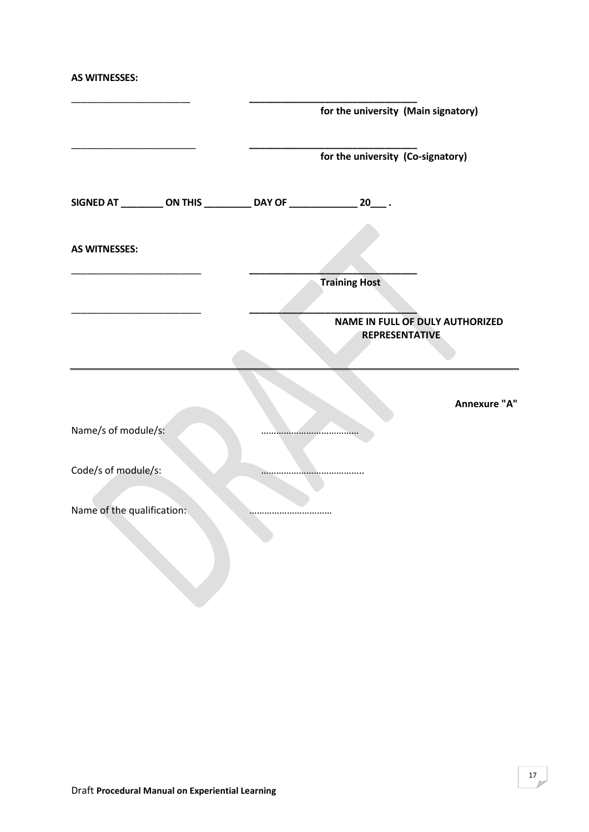**AS WITNESSES:**

|                            |  |                                                                           | for the university (Main signatory) |              |
|----------------------------|--|---------------------------------------------------------------------------|-------------------------------------|--------------|
|                            |  |                                                                           | for the university (Co-signatory)   |              |
|                            |  | SIGNED AT __________ ON THIS ____________ DAY OF ________________ 20____. |                                     |              |
| <b>AS WITNESSES:</b>       |  |                                                                           |                                     |              |
|                            |  |                                                                           | <b>Training Host</b>                |              |
|                            |  | <b>NAME IN FULL OF DULY AUTHORIZED</b><br><b>REPRESENTATIVE</b>           |                                     |              |
|                            |  |                                                                           |                                     | Annexure "A" |
| Name/s of module/s:        |  |                                                                           |                                     |              |
| Code/s of module/s:        |  |                                                                           |                                     |              |
| Name of the qualification: |  |                                                                           |                                     |              |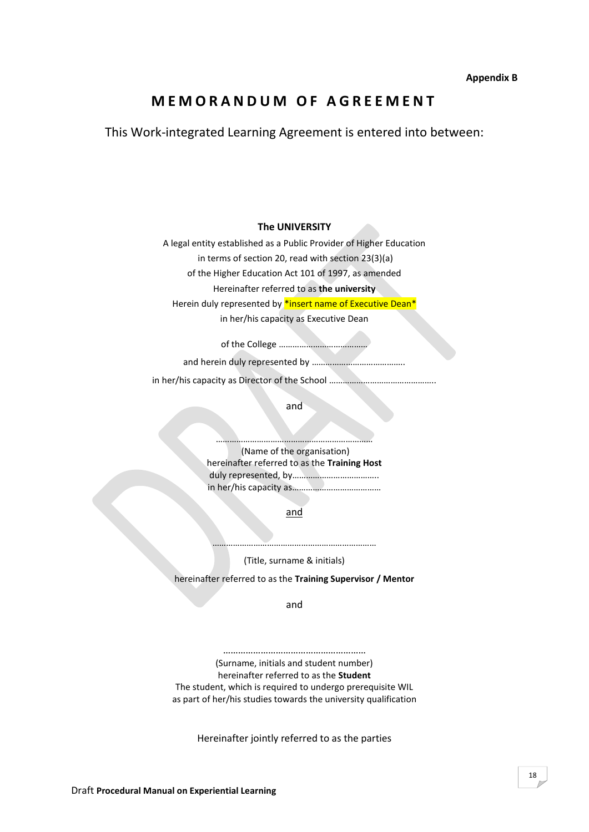# **M E M O R A N D U M O F A G R E E M E N T**

This Work-integrated Learning Agreement is entered into between:

**The UNIVERSITY**

A legal entity established as a Public Provider of Higher Education

in terms of section 20, read with section 23(3)(a)

of the Higher Education Act 101 of 1997, as amended

Hereinafter referred to as **the university**

Herein duly represented by \*insert name of Executive Dean\*

in her/his capacity as Executive Dean

of the College …………………………………

and herein duly represented by …………………………………..

in her/his capacity as Director of the School ………………………………………..

and

(Name of the organisation) hereinafter referred to as the **Training Host** duly represented, by……………………………….. in her/his capacity as…………………………………

……………………………………………………………

and

……………………………………………………………… (Title, surname & initials)

hereinafter referred to as the **Training Supervisor / Mentor**

and

………………………………………………… (Surname, initials and student number) hereinafter referred to as the **Student** The student, which is required to undergo prerequisite WIL as part of her/his studies towards the university qualification

Hereinafter jointly referred to as the parties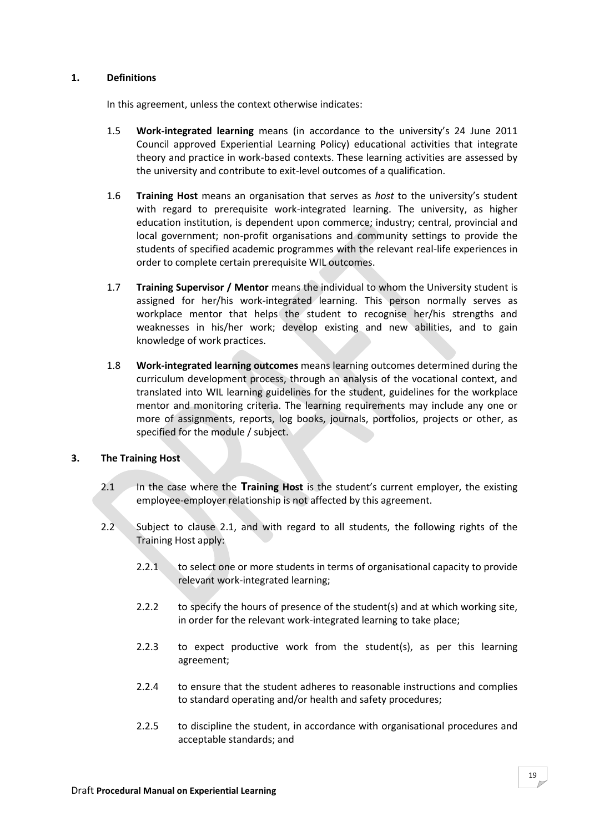# **1. Definitions**

In this agreement, unless the context otherwise indicates:

- 1.5 **Work-integrated learning** means (in accordance to the university's 24 June 2011 Council approved Experiential Learning Policy) educational activities that integrate theory and practice in work-based contexts. These learning activities are assessed by the university and contribute to exit-level outcomes of a qualification.
- 1.6 **Training Host** means an organisation that serves as *host* to the university's student with regard to prerequisite work-integrated learning. The university, as higher education institution, is dependent upon commerce; industry; central, provincial and local government; non-profit organisations and community settings to provide the students of specified academic programmes with the relevant real-life experiences in order to complete certain prerequisite WIL outcomes.
- 1.7 **Training Supervisor / Mentor** means the individual to whom the University student is assigned for her/his work-integrated learning. This person normally serves as workplace mentor that helps the student to recognise her/his strengths and weaknesses in his/her work; develop existing and new abilities, and to gain knowledge of work practices.
- 1.8 **Work-integrated learning outcomes** means learning outcomes determined during the curriculum development process, through an analysis of the vocational context, and translated into WIL learning guidelines for the student, guidelines for the workplace mentor and monitoring criteria. The learning requirements may include any one or more of assignments, reports, log books, journals, portfolios, projects or other, as specified for the module / subject.

# **3. The Training Host**

- 2.1 In the case where the **Training Host** is the student's current employer, the existing employee-employer relationship is not affected by this agreement.
- 2.2 Subject to clause 2.1, and with regard to all students, the following rights of the Training Host apply:
	- 2.2.1 to select one or more students in terms of organisational capacity to provide relevant work-integrated learning;
	- 2.2.2 to specify the hours of presence of the student(s) and at which working site, in order for the relevant work-integrated learning to take place;
	- 2.2.3 to expect productive work from the student(s), as per this learning agreement;
	- 2.2.4 to ensure that the student adheres to reasonable instructions and complies to standard operating and/or health and safety procedures;
	- 2.2.5 to discipline the student, in accordance with organisational procedures and acceptable standards; and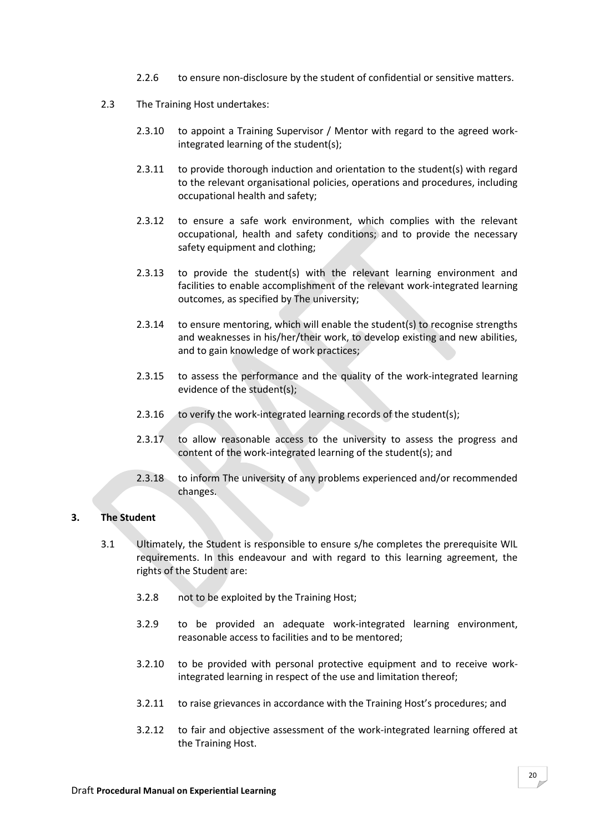- 2.2.6 to ensure non-disclosure by the student of confidential or sensitive matters.
- 2.3 The Training Host undertakes:
	- 2.3.10 to appoint a Training Supervisor / Mentor with regard to the agreed workintegrated learning of the student(s);
	- 2.3.11 to provide thorough induction and orientation to the student(s) with regard to the relevant organisational policies, operations and procedures, including occupational health and safety;
	- 2.3.12 to ensure a safe work environment, which complies with the relevant occupational, health and safety conditions; and to provide the necessary safety equipment and clothing;
	- 2.3.13 to provide the student(s) with the relevant learning environment and facilities to enable accomplishment of the relevant work-integrated learning outcomes, as specified by The university;
	- 2.3.14 to ensure mentoring, which will enable the student(s) to recognise strengths and weaknesses in his/her/their work, to develop existing and new abilities, and to gain knowledge of work practices;
	- 2.3.15 to assess the performance and the quality of the work-integrated learning evidence of the student(s);
	- 2.3.16 to verify the work-integrated learning records of the student(s);
	- 2.3.17 to allow reasonable access to the university to assess the progress and content of the work-integrated learning of the student(s); and
	- 2.3.18 to inform The university of any problems experienced and/or recommended changes.

# **3. The Student**

- 3.1 Ultimately, the Student is responsible to ensure s/he completes the prerequisite WIL requirements. In this endeavour and with regard to this learning agreement, the rights of the Student are:
	- 3.2.8 not to be exploited by the Training Host;
	- 3.2.9 to be provided an adequate work-integrated learning environment, reasonable access to facilities and to be mentored;
	- 3.2.10 to be provided with personal protective equipment and to receive workintegrated learning in respect of the use and limitation thereof;
	- 3.2.11 to raise grievances in accordance with the Training Host's procedures; and
	- 3.2.12 to fair and objective assessment of the work-integrated learning offered at the Training Host.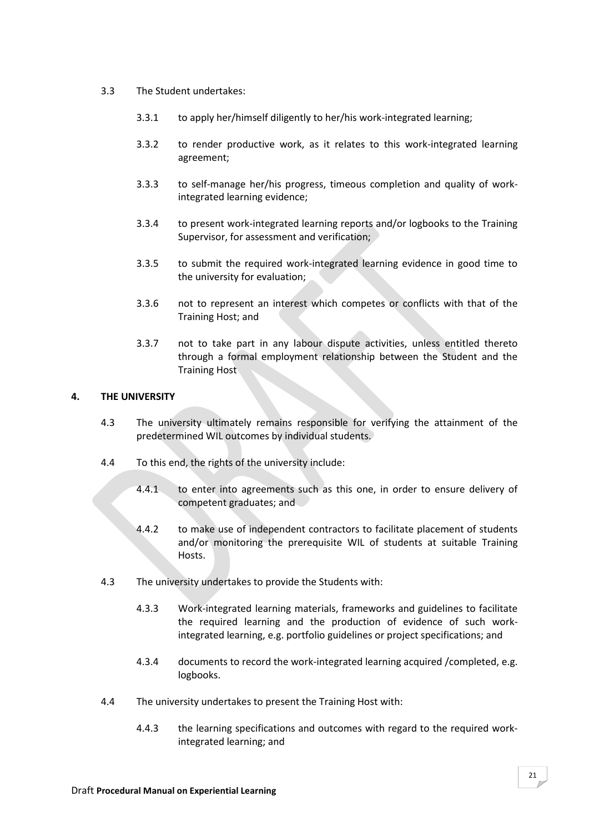- 3.3 The Student undertakes:
	- 3.3.1 to apply her/himself diligently to her/his work-integrated learning;
	- 3.3.2 to render productive work, as it relates to this work-integrated learning agreement;
	- 3.3.3 to self-manage her/his progress, timeous completion and quality of workintegrated learning evidence;
	- 3.3.4 to present work-integrated learning reports and/or logbooks to the Training Supervisor, for assessment and verification;
	- 3.3.5 to submit the required work-integrated learning evidence in good time to the university for evaluation;
	- 3.3.6 not to represent an interest which competes or conflicts with that of the Training Host; and
	- 3.3.7 not to take part in any labour dispute activities, unless entitled thereto through a formal employment relationship between the Student and the Training Host

#### **4. THE UNIVERSITY**

- 4.3 The university ultimately remains responsible for verifying the attainment of the predetermined WIL outcomes by individual students.
- 4.4 To this end, the rights of the university include:
	- 4.4.1 to enter into agreements such as this one, in order to ensure delivery of competent graduates; and
	- 4.4.2 to make use of independent contractors to facilitate placement of students and/or monitoring the prerequisite WIL of students at suitable Training Hosts.
- 4.3 The university undertakes to provide the Students with:
	- 4.3.3 Work-integrated learning materials, frameworks and guidelines to facilitate the required learning and the production of evidence of such workintegrated learning, e.g. portfolio guidelines or project specifications; and
	- 4.3.4 documents to record the work-integrated learning acquired /completed, e.g. logbooks.
- 4.4 The university undertakes to present the Training Host with:
	- 4.4.3 the learning specifications and outcomes with regard to the required workintegrated learning; and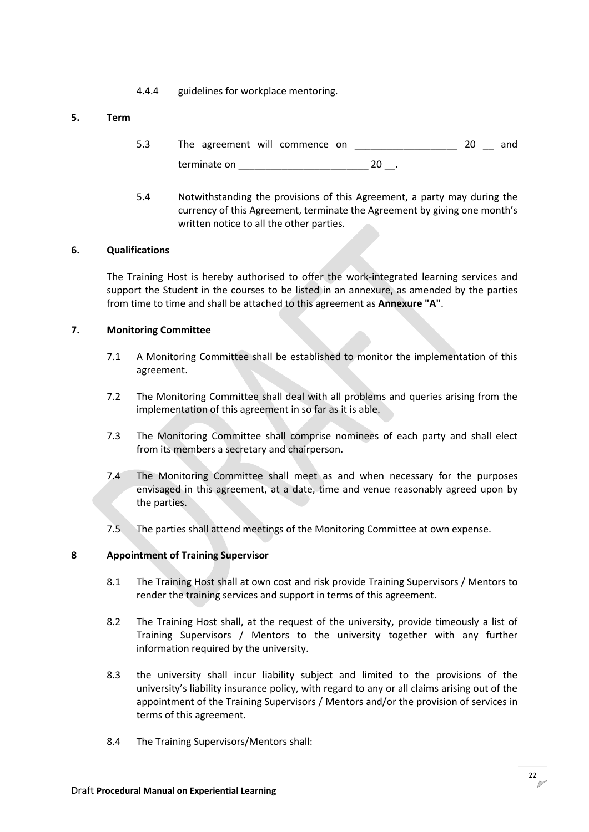4.4.4 guidelines for workplace mentoring.

# **5. Term**

- 5.3 The agreement will commence on  $20$  and terminate on  $20$ .
- 5.4 Notwithstanding the provisions of this Agreement, a party may during the currency of this Agreement, terminate the Agreement by giving one month's written notice to all the other parties.

#### **6. Qualifications**

The Training Host is hereby authorised to offer the work-integrated learning services and support the Student in the courses to be listed in an annexure, as amended by the parties from time to time and shall be attached to this agreement as **Annexure "A"**.

#### **7. Monitoring Committee**

- 7.1 A Monitoring Committee shall be established to monitor the implementation of this agreement.
- 7.2 The Monitoring Committee shall deal with all problems and queries arising from the implementation of this agreement in so far as it is able.
- 7.3 The Monitoring Committee shall comprise nominees of each party and shall elect from its members a secretary and chairperson.
- 7.4 The Monitoring Committee shall meet as and when necessary for the purposes envisaged in this agreement, at a date, time and venue reasonably agreed upon by the parties.
- 7.5 The parties shall attend meetings of the Monitoring Committee at own expense.

# **8 Appointment of Training Supervisor**

- 8.1 The Training Host shall at own cost and risk provide Training Supervisors / Mentors to render the training services and support in terms of this agreement.
- 8.2 The Training Host shall, at the request of the university, provide timeously a list of Training Supervisors / Mentors to the university together with any further information required by the university.
- 8.3 the university shall incur liability subject and limited to the provisions of the university's liability insurance policy, with regard to any or all claims arising out of the appointment of the Training Supervisors / Mentors and/or the provision of services in terms of this agreement.
- 8.4 The Training Supervisors/Mentors shall: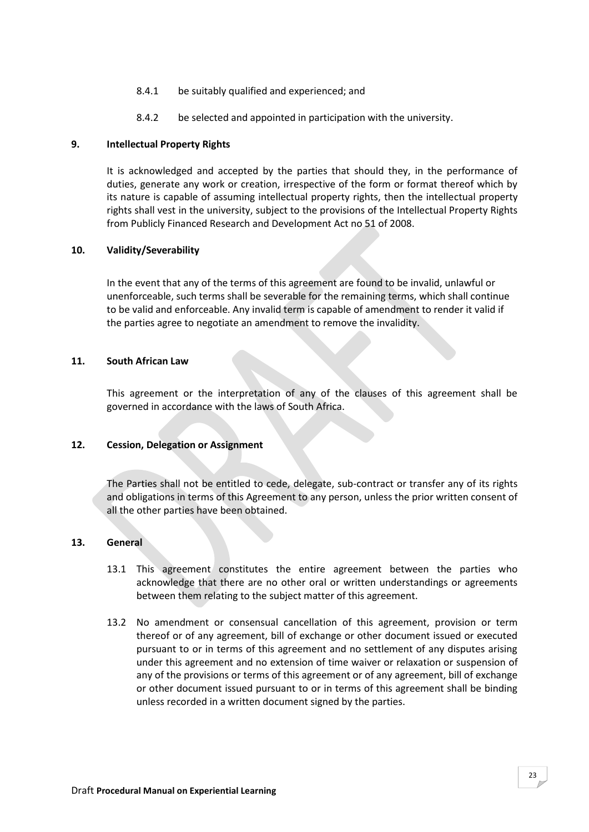- 8.4.1 be suitably qualified and experienced; and
- 8.4.2 be selected and appointed in participation with the university.

#### **9. Intellectual Property Rights**

It is acknowledged and accepted by the parties that should they, in the performance of duties, generate any work or creation, irrespective of the form or format thereof which by its nature is capable of assuming intellectual property rights, then the intellectual property rights shall vest in the university, subject to the provisions of the Intellectual Property Rights from Publicly Financed Research and Development Act no 51 of 2008.

#### **10. Validity/Severability**

In the event that any of the terms of this agreement are found to be invalid, unlawful or unenforceable, such terms shall be severable for the remaining terms, which shall continue to be valid and enforceable. Any invalid term is capable of amendment to render it valid if the parties agree to negotiate an amendment to remove the invalidity.

#### **11. South African Law**

This agreement or the interpretation of any of the clauses of this agreement shall be governed in accordance with the laws of South Africa.

#### **12. Cession, Delegation or Assignment**

The Parties shall not be entitled to cede, delegate, sub-contract or transfer any of its rights and obligations in terms of this Agreement to any person, unless the prior written consent of all the other parties have been obtained.

#### **13. General**

- 13.1 This agreement constitutes the entire agreement between the parties who acknowledge that there are no other oral or written understandings or agreements between them relating to the subject matter of this agreement.
- 13.2 No amendment or consensual cancellation of this agreement, provision or term thereof or of any agreement, bill of exchange or other document issued or executed pursuant to or in terms of this agreement and no settlement of any disputes arising under this agreement and no extension of time waiver or relaxation or suspension of any of the provisions or terms of this agreement or of any agreement, bill of exchange or other document issued pursuant to or in terms of this agreement shall be binding unless recorded in a written document signed by the parties.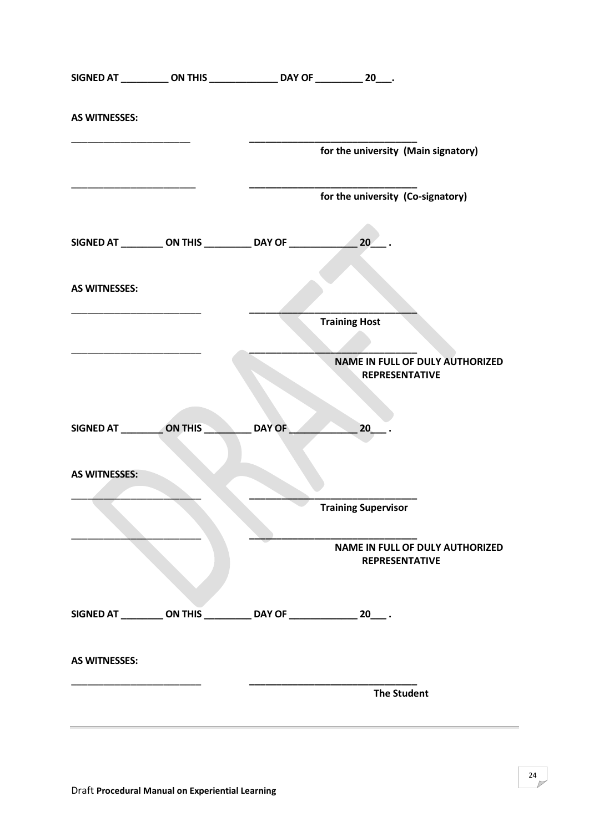|                      |                                         | SIGNED AT ____________ ON THIS _________________ DAY OF ____________ 20____. |                                   |                                                                 |
|----------------------|-----------------------------------------|------------------------------------------------------------------------------|-----------------------------------|-----------------------------------------------------------------|
| <b>AS WITNESSES:</b> |                                         |                                                                              |                                   |                                                                 |
|                      |                                         |                                                                              |                                   | for the university (Main signatory)                             |
|                      |                                         |                                                                              | for the university (Co-signatory) |                                                                 |
|                      |                                         |                                                                              |                                   |                                                                 |
| <b>AS WITNESSES:</b> |                                         |                                                                              |                                   |                                                                 |
|                      |                                         |                                                                              | <b>Training Host</b>              |                                                                 |
|                      |                                         |                                                                              |                                   | <b>NAME IN FULL OF DULY AUTHORIZED</b><br><b>REPRESENTATIVE</b> |
|                      | SIGNED AT ____________ON THIS _________ | DAY OF                                                                       | $20$ .                            |                                                                 |
| <b>AS WITNESSES:</b> |                                         |                                                                              |                                   |                                                                 |
|                      |                                         |                                                                              | <b>Training Supervisor</b>        |                                                                 |
|                      |                                         |                                                                              |                                   | <b>NAME IN FULL OF DULY AUTHORIZED</b><br><b>REPRESENTATIVE</b> |
|                      |                                         | SIGNED AT __________ ON THIS ____________ DAY OF ________________ 20____.    |                                   |                                                                 |
| <b>AS WITNESSES:</b> |                                         |                                                                              |                                   |                                                                 |
|                      |                                         |                                                                              |                                   | <b>The Student</b>                                              |